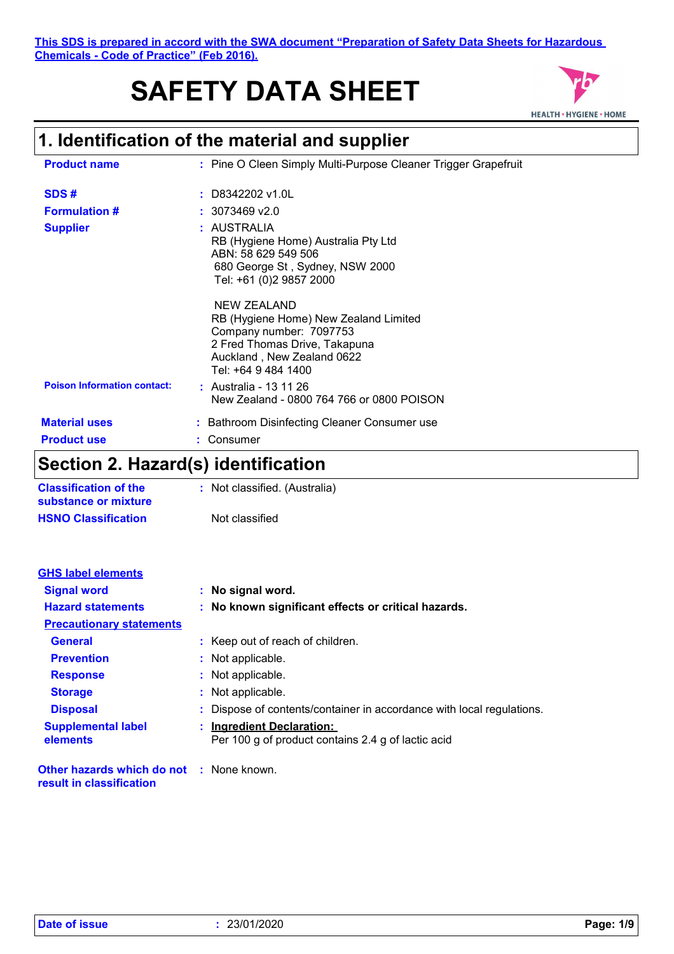# **SAFETY DATA SHEET**



# **1. Identification of the material and supplier**

| <b>Product name</b>                | : Pine O Cleen Simply Multi-Purpose Cleaner Trigger Grapefruit                                                                                                        |
|------------------------------------|-----------------------------------------------------------------------------------------------------------------------------------------------------------------------|
| SDS#                               | $:$ D8342202 v1.0L                                                                                                                                                    |
| <b>Formulation #</b>               | $: 3073469$ v2.0                                                                                                                                                      |
| <b>Supplier</b>                    | : AUSTRALIA<br>RB (Hygiene Home) Australia Pty Ltd<br>ABN: 58 629 549 506<br>680 George St, Sydney, NSW 2000<br>Tel: +61 (0)2 9857 2000                               |
|                                    | NEW ZEALAND<br>RB (Hygiene Home) New Zealand Limited<br>Company number: 7097753<br>2 Fred Thomas Drive, Takapuna<br>Auckland, New Zealand 0622<br>Tel: +64 9 484 1400 |
| <b>Poison Information contact:</b> | : Australia - 13 11 26<br>New Zealand - 0800 764 766 or 0800 POISON                                                                                                   |
| <b>Material uses</b>               | : Bathroom Disinfecting Cleaner Consumer use                                                                                                                          |
| <b>Product use</b>                 | Consumer                                                                                                                                                              |

## **Section 2. Hazard(s) identification**

| <b>Classification of the</b> | : Not classified. (Australia) |
|------------------------------|-------------------------------|
| substance or mixture         |                               |
| <b>HSNO Classification</b>   | Not classified                |

| <b>GHS label elements</b>                       |                                                                       |
|-------------------------------------------------|-----------------------------------------------------------------------|
| <b>Signal word</b>                              | : No signal word.                                                     |
| <b>Hazard statements</b>                        | : No known significant effects or critical hazards.                   |
| <b>Precautionary statements</b>                 |                                                                       |
| <b>General</b>                                  | : Keep out of reach of children.                                      |
| <b>Prevention</b>                               | : Not applicable.                                                     |
| <b>Response</b>                                 | : Not applicable.                                                     |
| <b>Storage</b>                                  | : Not applicable.                                                     |
| <b>Disposal</b>                                 | : Dispose of contents/container in accordance with local regulations. |
| <b>Supplemental label</b>                       | : Ingredient Declaration:                                             |
| elements                                        | Per 100 g of product contains 2.4 g of lactic acid                    |
| <b>Other hazards which do not : None known.</b> |                                                                       |

**result in classification**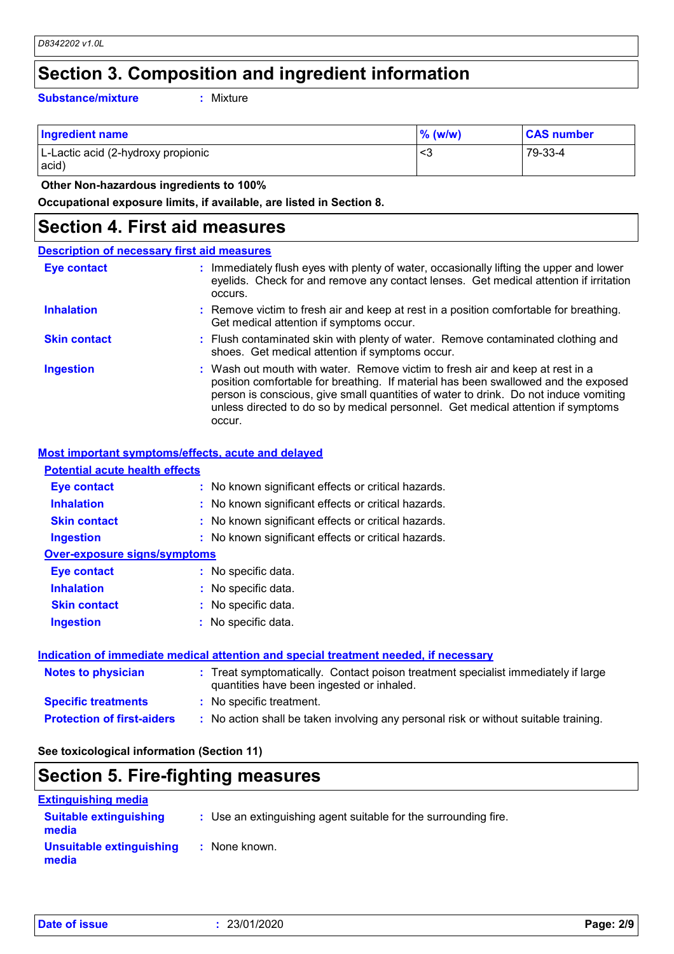## **Section 3. Composition and ingredient information**

**Substance/mixture :**

: Mixture

| <b>Ingredient name</b>                      | $%$ (w/w) | <b>CAS number</b> |
|---------------------------------------------|-----------|-------------------|
| L-Lactic acid (2-hydroxy propionic<br>acid) | - <3      | 79-33-4           |

 **Other Non-hazardous ingredients to 100%**

**Occupational exposure limits, if available, are listed in Section 8.**

### **Section 4. First aid measures**

| <b>Description of necessary first aid measures</b> |                                                                                                                                                                                                                                                                                                                                                           |
|----------------------------------------------------|-----------------------------------------------------------------------------------------------------------------------------------------------------------------------------------------------------------------------------------------------------------------------------------------------------------------------------------------------------------|
| <b>Eye contact</b>                                 | : Immediately flush eyes with plenty of water, occasionally lifting the upper and lower<br>eyelids. Check for and remove any contact lenses. Get medical attention if irritation<br>occurs.                                                                                                                                                               |
| <b>Inhalation</b>                                  | : Remove victim to fresh air and keep at rest in a position comfortable for breathing.<br>Get medical attention if symptoms occur.                                                                                                                                                                                                                        |
| <b>Skin contact</b>                                | : Flush contaminated skin with plenty of water. Remove contaminated clothing and<br>shoes. Get medical attention if symptoms occur.                                                                                                                                                                                                                       |
| <b>Ingestion</b>                                   | : Wash out mouth with water. Remove victim to fresh air and keep at rest in a<br>position comfortable for breathing. If material has been swallowed and the exposed<br>person is conscious, give small quantities of water to drink. Do not induce vomiting<br>unless directed to do so by medical personnel. Get medical attention if symptoms<br>occur. |

#### **Most important symptoms/effects, acute and delayed**

| <b>Potential acute health effects</b> |                                                     |
|---------------------------------------|-----------------------------------------------------|
| Eye contact                           | : No known significant effects or critical hazards. |
| <b>Inhalation</b>                     | : No known significant effects or critical hazards. |
| <b>Skin contact</b>                   | : No known significant effects or critical hazards. |
| <b>Ingestion</b>                      | : No known significant effects or critical hazards. |
| <b>Over-exposure signs/symptoms</b>   |                                                     |
| Eye contact                           | : No specific data.                                 |
| <b>Inhalation</b>                     | : No specific data.                                 |
| <b>Skin contact</b>                   | : No specific data.                                 |
| <b>Ingestion</b>                      | : No specific data.                                 |
|                                       |                                                     |

#### **Indication of immediate medical attention and special treatment needed, if necessary**

| <b>Notes to physician</b>         | : Treat symptomatically. Contact poison treatment specialist immediately if large<br>quantities have been ingested or inhaled. |
|-----------------------------------|--------------------------------------------------------------------------------------------------------------------------------|
| <b>Specific treatments</b>        | : No specific treatment.                                                                                                       |
| <b>Protection of first-aiders</b> | : No action shall be taken involving any personal risk or without suitable training.                                           |

#### **See toxicological information (Section 11)**

### **Section 5. Fire-fighting measures**

| <b>Extinguishing media</b>             |                                                                 |
|----------------------------------------|-----------------------------------------------------------------|
| <b>Suitable extinguishing</b><br>media | : Use an extinguishing agent suitable for the surrounding fire. |
| Unsuitable extinguishing<br>media      | : None known.                                                   |

|  |  |  | <b>Date of issue</b> |  |
|--|--|--|----------------------|--|
|--|--|--|----------------------|--|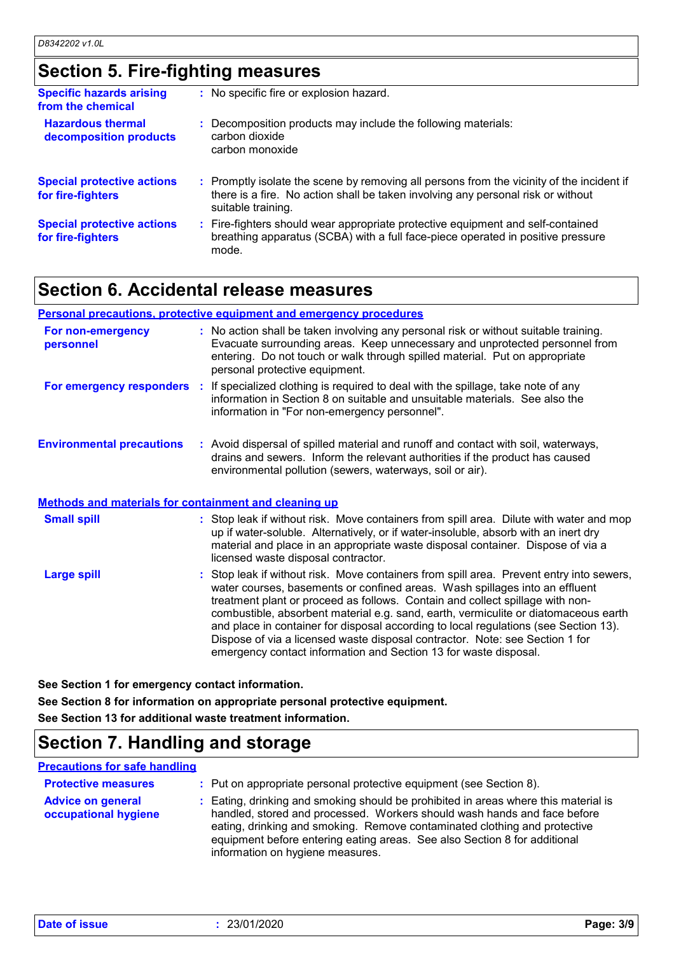## **Section 5. Fire-fighting measures**

| <b>Specific hazards arising</b><br>from the chemical   | : No specific fire or explosion hazard.                                                                                                                                                             |
|--------------------------------------------------------|-----------------------------------------------------------------------------------------------------------------------------------------------------------------------------------------------------|
| <b>Hazardous thermal</b><br>decomposition products     | : Decomposition products may include the following materials:<br>carbon dioxide<br>carbon monoxide                                                                                                  |
| <b>Special protective actions</b><br>for fire-fighters | : Promptly isolate the scene by removing all persons from the vicinity of the incident if<br>there is a fire. No action shall be taken involving any personal risk or without<br>suitable training. |
| <b>Special protective actions</b><br>for fire-fighters | : Fire-fighters should wear appropriate protective equipment and self-contained<br>breathing apparatus (SCBA) with a full face-piece operated in positive pressure<br>mode.                         |

### **Section 6. Accidental release measures**

#### **Personal precautions, protective equipment and emergency procedures**

| For non-emergency<br>personnel   |       | : No action shall be taken involving any personal risk or without suitable training.<br>Evacuate surrounding areas. Keep unnecessary and unprotected personnel from<br>entering. Do not touch or walk through spilled material. Put on appropriate<br>personal protective equipment. |
|----------------------------------|-------|--------------------------------------------------------------------------------------------------------------------------------------------------------------------------------------------------------------------------------------------------------------------------------------|
| For emergency responders         | - 100 | If specialized clothing is required to deal with the spillage, take note of any<br>information in Section 8 on suitable and unsuitable materials. See also the<br>information in "For non-emergency personnel".                                                                      |
| <b>Environmental precautions</b> |       | : Avoid dispersal of spilled material and runoff and contact with soil, waterways,<br>drains and sewers. Inform the relevant authorities if the product has caused<br>environmental pollution (sewers, waterways, soil or air).                                                      |

#### **Methods and materials for containment and cleaning up**

| <b>Small spill</b> | : Stop leak if without risk. Move containers from spill area. Dilute with water and mop<br>up if water-soluble. Alternatively, or if water-insoluble, absorb with an inert dry<br>material and place in an appropriate waste disposal container. Dispose of via a<br>licensed waste disposal contractor.                                                                                                                                                                                                                                                                                    |
|--------------------|---------------------------------------------------------------------------------------------------------------------------------------------------------------------------------------------------------------------------------------------------------------------------------------------------------------------------------------------------------------------------------------------------------------------------------------------------------------------------------------------------------------------------------------------------------------------------------------------|
| Large spill        | : Stop leak if without risk. Move containers from spill area. Prevent entry into sewers,<br>water courses, basements or confined areas. Wash spillages into an effluent<br>treatment plant or proceed as follows. Contain and collect spillage with non-<br>combustible, absorbent material e.g. sand, earth, vermiculite or diatomaceous earth<br>and place in container for disposal according to local regulations (see Section 13).<br>Dispose of via a licensed waste disposal contractor. Note: see Section 1 for<br>emergency contact information and Section 13 for waste disposal. |

**See Section 1 for emergency contact information.**

**See Section 8 for information on appropriate personal protective equipment. See Section 13 for additional waste treatment information.**

### **Section 7. Handling and storage**

#### **Precautions for safe handling**

| <b>Protective measures</b>                       | : Put on appropriate personal protective equipment (see Section 8).                                                                                                                                                                                                                                                                                           |
|--------------------------------------------------|---------------------------------------------------------------------------------------------------------------------------------------------------------------------------------------------------------------------------------------------------------------------------------------------------------------------------------------------------------------|
| <b>Advice on general</b><br>occupational hygiene | : Eating, drinking and smoking should be prohibited in areas where this material is<br>handled, stored and processed. Workers should wash hands and face before<br>eating, drinking and smoking. Remove contaminated clothing and protective<br>equipment before entering eating areas. See also Section 8 for additional<br>information on hygiene measures. |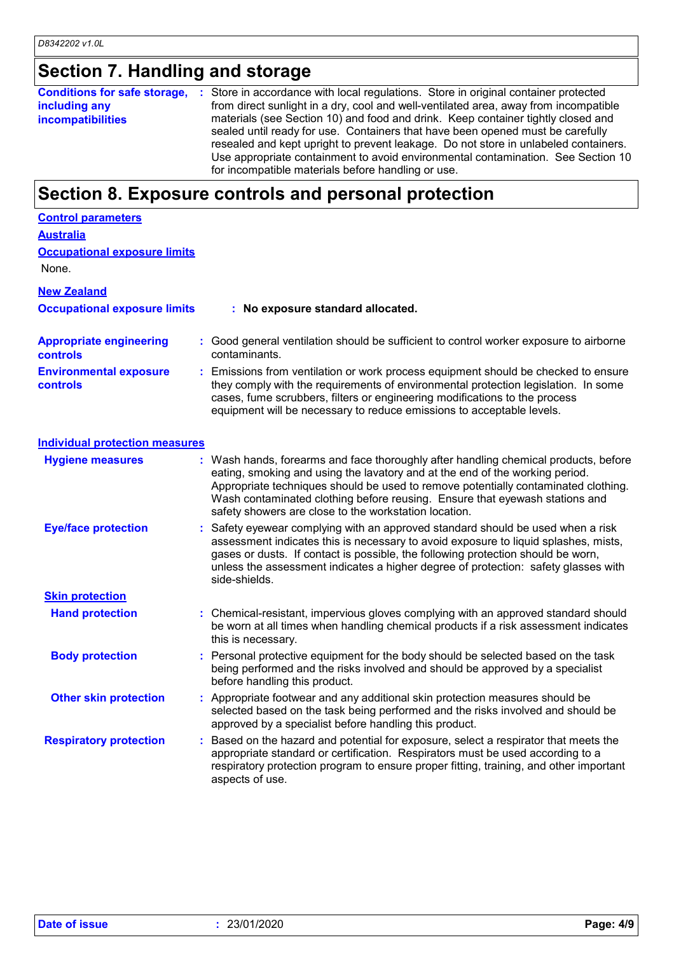## **Section 7. Handling and storage**

**Conditions for safe storage, : Store in accordance with local regulations. Store in original container protected including any incompatibilities** from direct sunlight in a dry, cool and well-ventilated area, away from incompatible materials (see Section 10) and food and drink. Keep container tightly closed and sealed until ready for use. Containers that have been opened must be carefully resealed and kept upright to prevent leakage. Do not store in unlabeled containers. Use appropriate containment to avoid environmental contamination. See Section 10 for incompatible materials before handling or use.

### **Section 8. Exposure controls and personal protection**

| <b>Control parameters</b>                         |                                                                                                                                                                                                                                                                                                                                                                                                   |
|---------------------------------------------------|---------------------------------------------------------------------------------------------------------------------------------------------------------------------------------------------------------------------------------------------------------------------------------------------------------------------------------------------------------------------------------------------------|
| <b>Australia</b>                                  |                                                                                                                                                                                                                                                                                                                                                                                                   |
| <b>Occupational exposure limits</b><br>None.      |                                                                                                                                                                                                                                                                                                                                                                                                   |
| <b>New Zealand</b>                                |                                                                                                                                                                                                                                                                                                                                                                                                   |
| <b>Occupational exposure limits</b>               | : No exposure standard allocated.                                                                                                                                                                                                                                                                                                                                                                 |
| <b>Appropriate engineering</b><br><b>controls</b> | : Good general ventilation should be sufficient to control worker exposure to airborne<br>contaminants.                                                                                                                                                                                                                                                                                           |
| <b>Environmental exposure</b><br>controls         | : Emissions from ventilation or work process equipment should be checked to ensure<br>they comply with the requirements of environmental protection legislation. In some<br>cases, fume scrubbers, filters or engineering modifications to the process<br>equipment will be necessary to reduce emissions to acceptable levels.                                                                   |
| <b>Individual protection measures</b>             |                                                                                                                                                                                                                                                                                                                                                                                                   |
| <b>Hygiene measures</b>                           | : Wash hands, forearms and face thoroughly after handling chemical products, before<br>eating, smoking and using the lavatory and at the end of the working period.<br>Appropriate techniques should be used to remove potentially contaminated clothing.<br>Wash contaminated clothing before reusing. Ensure that eyewash stations and<br>safety showers are close to the workstation location. |
| <b>Eye/face protection</b>                        | Safety eyewear complying with an approved standard should be used when a risk<br>assessment indicates this is necessary to avoid exposure to liquid splashes, mists,<br>gases or dusts. If contact is possible, the following protection should be worn,<br>unless the assessment indicates a higher degree of protection: safety glasses with<br>side-shields.                                   |
| <b>Skin protection</b>                            |                                                                                                                                                                                                                                                                                                                                                                                                   |
| <b>Hand protection</b>                            | : Chemical-resistant, impervious gloves complying with an approved standard should<br>be worn at all times when handling chemical products if a risk assessment indicates<br>this is necessary.                                                                                                                                                                                                   |
| <b>Body protection</b>                            | : Personal protective equipment for the body should be selected based on the task<br>being performed and the risks involved and should be approved by a specialist<br>before handling this product.                                                                                                                                                                                               |
| <b>Other skin protection</b>                      | : Appropriate footwear and any additional skin protection measures should be<br>selected based on the task being performed and the risks involved and should be<br>approved by a specialist before handling this product.                                                                                                                                                                         |
| <b>Respiratory protection</b>                     | Based on the hazard and potential for exposure, select a respirator that meets the<br>appropriate standard or certification. Respirators must be used according to a<br>respiratory protection program to ensure proper fitting, training, and other important<br>aspects of use.                                                                                                                 |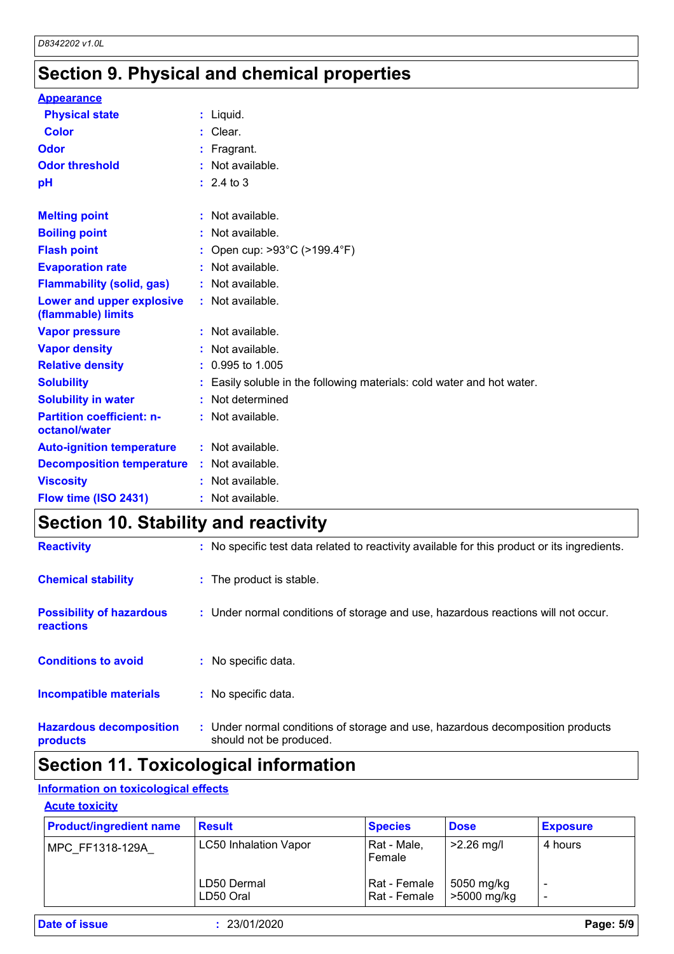## **Section 9. Physical and chemical properties**

| <b>Appearance</b>                                 |                                                                      |
|---------------------------------------------------|----------------------------------------------------------------------|
| <b>Physical state</b>                             | $:$ Liquid.                                                          |
| <b>Color</b>                                      | Clear.                                                               |
| Odor                                              | Fragrant.                                                            |
| <b>Odor threshold</b>                             | : Not available.                                                     |
| pH                                                | $: 2.4 \text{ to } 3$                                                |
|                                                   |                                                                      |
| <b>Melting point</b>                              | $:$ Not available.                                                   |
| <b>Boiling point</b>                              | : Not available.                                                     |
| <b>Flash point</b>                                | Open cup: >93°C (>199.4°F)                                           |
| <b>Evaporation rate</b>                           | : Not available.                                                     |
| <b>Flammability (solid, gas)</b>                  | : Not available.                                                     |
| Lower and upper explosive<br>(flammable) limits   | : Not available.                                                     |
| <b>Vapor pressure</b>                             | : Not available.                                                     |
| <b>Vapor density</b>                              | Not available.                                                       |
| <b>Relative density</b>                           | 0.995 to 1.005                                                       |
| <b>Solubility</b>                                 | Easily soluble in the following materials: cold water and hot water. |
| <b>Solubility in water</b>                        | Not determined                                                       |
| <b>Partition coefficient: n-</b><br>octanol/water | $:$ Not available.                                                   |
| <b>Auto-ignition temperature</b>                  | $:$ Not available.                                                   |
| <b>Decomposition temperature</b>                  | : Not available.                                                     |
| <b>Viscosity</b>                                  | : Not available.                                                     |
| Flow time (ISO 2431)                              | Not available.                                                       |

## **Section 10. Stability and reactivity**

| <b>Hazardous decomposition</b><br>products          | : Under normal conditions of storage and use, hazardous decomposition products<br>should not be produced. |
|-----------------------------------------------------|-----------------------------------------------------------------------------------------------------------|
| <b>Incompatible materials</b>                       | : No specific data.                                                                                       |
| <b>Conditions to avoid</b>                          | No specific data.                                                                                         |
| <b>Possibility of hazardous</b><br><b>reactions</b> | : Under normal conditions of storage and use, hazardous reactions will not occur.                         |
| <b>Chemical stability</b>                           | : The product is stable.                                                                                  |
| <b>Reactivity</b>                                   | : No specific test data related to reactivity available for this product or its ingredients.              |

## **Section 11. Toxicological information**

#### **Information on toxicological effects**

#### **Acute toxicity**

| <b>Product/ingredient name</b> | <b>Result</b>                | <b>Species</b>                 | <b>Dose</b>               | <b>Exposure</b> |
|--------------------------------|------------------------------|--------------------------------|---------------------------|-----------------|
| MPC FF1318-129A                | <b>LC50 Inhalation Vapor</b> | Rat - Male,<br>Female          | $>2.26$ mg/l              | 4 hours         |
|                                | LD50 Dermal<br>LD50 Oral     | Rat - Female<br>l Rat - Female | 5050 mg/kg<br>>5000 mg/kg |                 |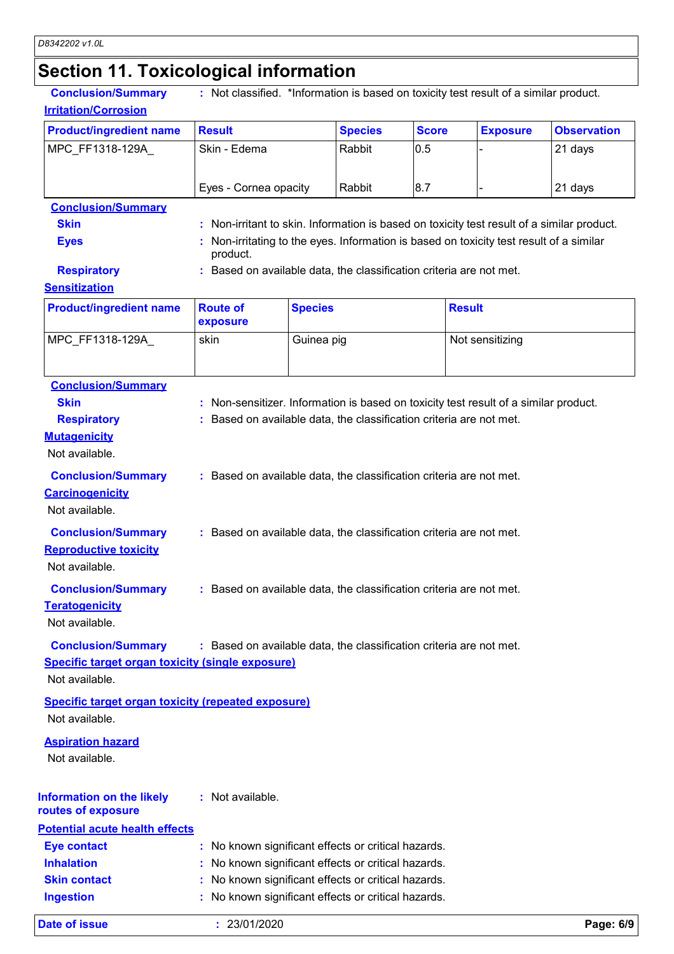# **Section 11. Toxicological information**

| <b>Conclusion/Summary</b><br><b>Irritation/Corrosion</b>                    |                                                                                                        |                |                |              | : Not classified. *Information is based on toxicity test result of a similar product.      |                    |
|-----------------------------------------------------------------------------|--------------------------------------------------------------------------------------------------------|----------------|----------------|--------------|--------------------------------------------------------------------------------------------|--------------------|
| <b>Product/ingredient name</b>                                              | <b>Result</b>                                                                                          |                | <b>Species</b> | <b>Score</b> | <b>Exposure</b>                                                                            | <b>Observation</b> |
| MPC_FF1318-129A_                                                            | Skin - Edema                                                                                           |                | Rabbit         | 0.5          |                                                                                            | 21 days            |
|                                                                             | Eyes - Cornea opacity                                                                                  |                | Rabbit         | 8.7          |                                                                                            | 21 days            |
| <b>Conclusion/Summary</b>                                                   |                                                                                                        |                |                |              |                                                                                            |                    |
| <b>Skin</b>                                                                 |                                                                                                        |                |                |              | : Non-irritant to skin. Information is based on toxicity test result of a similar product. |                    |
| <b>Eyes</b>                                                                 | Non-irritating to the eyes. Information is based on toxicity test result of a similar<br>product.      |                |                |              |                                                                                            |                    |
| <b>Respiratory</b><br><b>Sensitization</b>                                  | : Based on available data, the classification criteria are not met.                                    |                |                |              |                                                                                            |                    |
| <b>Product/ingredient name</b>                                              | <b>Route of</b><br>exposure                                                                            | <b>Species</b> |                |              | <b>Result</b>                                                                              |                    |
| MPC_FF1318-129A                                                             | skin                                                                                                   | Guinea pig     |                |              | Not sensitizing                                                                            |                    |
| <b>Conclusion/Summary</b>                                                   |                                                                                                        |                |                |              |                                                                                            |                    |
| <b>Skin</b>                                                                 |                                                                                                        |                |                |              | : Non-sensitizer. Information is based on toxicity test result of a similar product.       |                    |
| <b>Respiratory</b>                                                          | : Based on available data, the classification criteria are not met.                                    |                |                |              |                                                                                            |                    |
| <b>Mutagenicity</b><br>Not available.                                       |                                                                                                        |                |                |              |                                                                                            |                    |
| <b>Conclusion/Summary</b>                                                   | : Based on available data, the classification criteria are not met.                                    |                |                |              |                                                                                            |                    |
| <b>Carcinogenicity</b><br>Not available.                                    |                                                                                                        |                |                |              |                                                                                            |                    |
| <b>Conclusion/Summary</b><br><b>Reproductive toxicity</b><br>Not available. | : Based on available data, the classification criteria are not met.                                    |                |                |              |                                                                                            |                    |
| <b>Conclusion/Summary</b><br><b>Teratogenicity</b><br>Not available.        | : Based on available data, the classification criteria are not met.                                    |                |                |              |                                                                                            |                    |
| <b>Conclusion/Summary</b>                                                   | : Based on available data, the classification criteria are not met.                                    |                |                |              |                                                                                            |                    |
| <b>Specific target organ toxicity (single exposure)</b>                     |                                                                                                        |                |                |              |                                                                                            |                    |
| Not available.                                                              |                                                                                                        |                |                |              |                                                                                            |                    |
| <b>Specific target organ toxicity (repeated exposure)</b><br>Not available. |                                                                                                        |                |                |              |                                                                                            |                    |
| <b>Aspiration hazard</b><br>Not available.                                  |                                                                                                        |                |                |              |                                                                                            |                    |
| <b>Information on the likely</b><br>routes of exposure                      | : Not available.                                                                                       |                |                |              |                                                                                            |                    |
| <b>Potential acute health effects</b>                                       |                                                                                                        |                |                |              |                                                                                            |                    |
| <b>Eye contact</b>                                                          | : No known significant effects or critical hazards.                                                    |                |                |              |                                                                                            |                    |
| <b>Inhalation</b>                                                           |                                                                                                        |                |                |              |                                                                                            |                    |
| <b>Skin contact</b>                                                         | No known significant effects or critical hazards.<br>No known significant effects or critical hazards. |                |                |              |                                                                                            |                    |
| <b>Ingestion</b>                                                            | No known significant effects or critical hazards.                                                      |                |                |              |                                                                                            |                    |
| <b>Date of issue</b>                                                        | : 23/01/2020                                                                                           |                |                |              |                                                                                            | Page: 6/9          |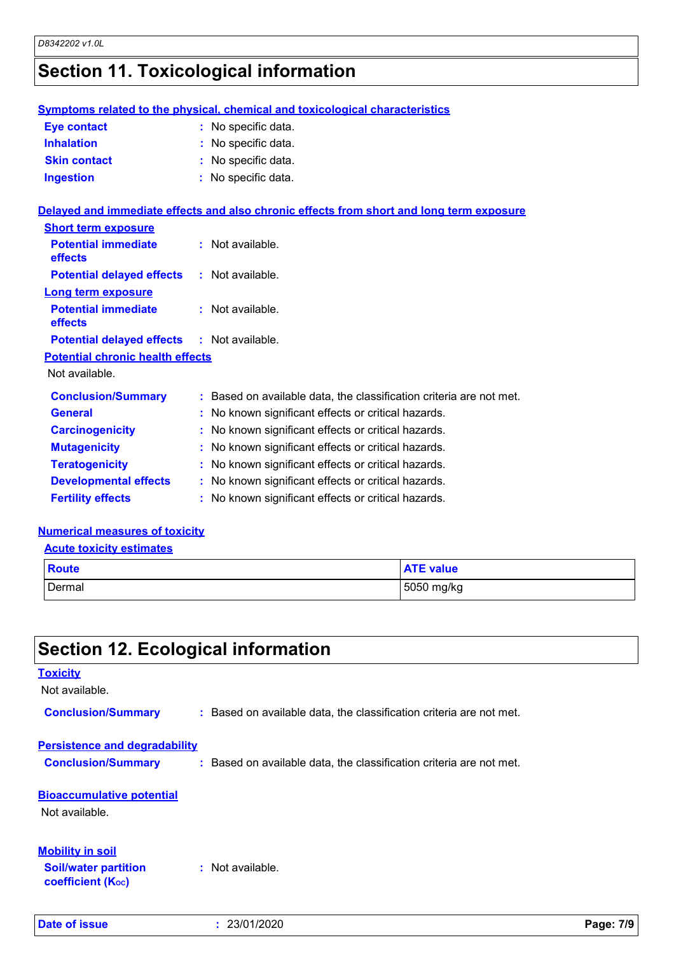## **Section 11. Toxicological information**

|                                         | <b>Symptoms related to the physical, chemical and toxicological characteristics</b>      |  |  |
|-----------------------------------------|------------------------------------------------------------------------------------------|--|--|
| <b>Eye contact</b>                      | : No specific data.                                                                      |  |  |
| <b>Inhalation</b>                       | No specific data.                                                                        |  |  |
| <b>Skin contact</b>                     | : No specific data.                                                                      |  |  |
| <b>Ingestion</b>                        | : No specific data.                                                                      |  |  |
|                                         | Delayed and immediate effects and also chronic effects from short and long term exposure |  |  |
| <b>Short term exposure</b>              |                                                                                          |  |  |
| <b>Potential immediate</b><br>effects   | : Not available.                                                                         |  |  |
| <b>Potential delayed effects</b>        | : Not available.                                                                         |  |  |
| <b>Long term exposure</b>               |                                                                                          |  |  |
| <b>Potential immediate</b><br>effects   | $:$ Not available.                                                                       |  |  |
| <b>Potential delayed effects</b>        | $:$ Not available.                                                                       |  |  |
| <b>Potential chronic health effects</b> |                                                                                          |  |  |
| Not available.                          |                                                                                          |  |  |
| <b>Conclusion/Summary</b>               | : Based on available data, the classification criteria are not met.                      |  |  |
| <b>General</b>                          | No known significant effects or critical hazards.                                        |  |  |
| <b>Carcinogenicity</b>                  | : No known significant effects or critical hazards.                                      |  |  |
| <b>Mutagenicity</b>                     | No known significant effects or critical hazards.                                        |  |  |
| <b>Teratogenicity</b>                   | No known significant effects or critical hazards.                                        |  |  |
| <b>Developmental effects</b>            | No known significant effects or critical hazards.                                        |  |  |
| <b>Fertility effects</b>                | : No known significant effects or critical hazards.                                      |  |  |
| <b>Numerical measures of toxicity</b>   |                                                                                          |  |  |
| <b>Acute toxicity estimates</b>         |                                                                                          |  |  |
|                                         |                                                                                          |  |  |
| <b>Route</b>                            | <b>ATE value</b>                                                                         |  |  |
| Dermal                                  | 5050 mg/kg                                                                               |  |  |

## **Section 12. Ecological information**

## **Bioaccumulative potential** Not available. **Toxicity** Not available. **Conclusion/Summary :** Based on available data, the classification criteria are not met. **Persistence and degradability Conclusion/Summary :** Based on available data, the classification criteria are not met. **Soil/water partition coefficient (KOC) :** Not available. **Mobility in soil**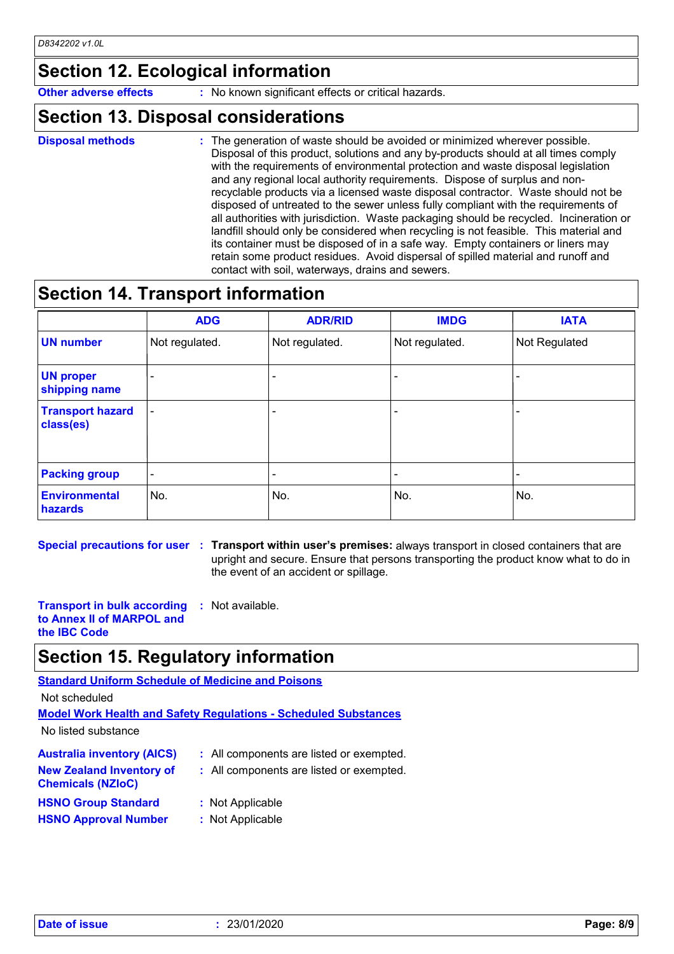## **Section 12. Ecological information**

**Other adverse effects** : No known significant effects or critical hazards.

#### **Section 13. Disposal considerations**

- **Disposal methods :**
- : The generation of waste should be avoided or minimized wherever possible. Disposal of this product, solutions and any by-products should at all times comply with the requirements of environmental protection and waste disposal legislation and any regional local authority requirements. Dispose of surplus and nonrecyclable products via a licensed waste disposal contractor. Waste should not be disposed of untreated to the sewer unless fully compliant with the requirements of all authorities with jurisdiction. Waste packaging should be recycled. Incineration or landfill should only be considered when recycling is not feasible. This material and its container must be disposed of in a safe way. Empty containers or liners may retain some product residues. Avoid dispersal of spilled material and runoff and contact with soil, waterways, drains and sewers.

## **Section 14. Transport information**

|                                      | <b>ADG</b>               | <b>ADR/RID</b> | <b>IMDG</b>    | <b>IATA</b>   |
|--------------------------------------|--------------------------|----------------|----------------|---------------|
| <b>UN number</b>                     | Not regulated.           | Not regulated. | Not regulated. | Not Regulated |
| <b>UN proper</b><br>shipping name    | $\overline{\phantom{0}}$ |                |                |               |
| <b>Transport hazard</b><br>class(es) | $\overline{\phantom{0}}$ |                |                |               |
| <b>Packing group</b>                 | $\overline{\phantom{0}}$ |                |                |               |
| <b>Environmental</b><br>hazards      | No.                      | No.            | No.            | No.           |

**Special precautions for user Transport within user's premises:** always transport in closed containers that are **:** upright and secure. Ensure that persons transporting the product know what to do in the event of an accident or spillage.

**Transport in bulk according :** Not available. **to Annex II of MARPOL and the IBC Code**

### **Section 15. Regulatory information**

**Standard Uniform Schedule of Medicine and Poisons**

Not scheduled

**Model Work Health and Safety Regulations - Scheduled Substances**

No listed substance

| <b>Australia inventory (AICS)</b>                           | : All components are listed or exempted. |
|-------------------------------------------------------------|------------------------------------------|
| <b>New Zealand Inventory of</b><br><b>Chemicals (NZIoC)</b> | : All components are listed or exempted. |
| <b>HSNO Group Standard</b>                                  | : Not Applicable                         |
| <b>HSNO Approval Number</b>                                 | : Not Applicable                         |